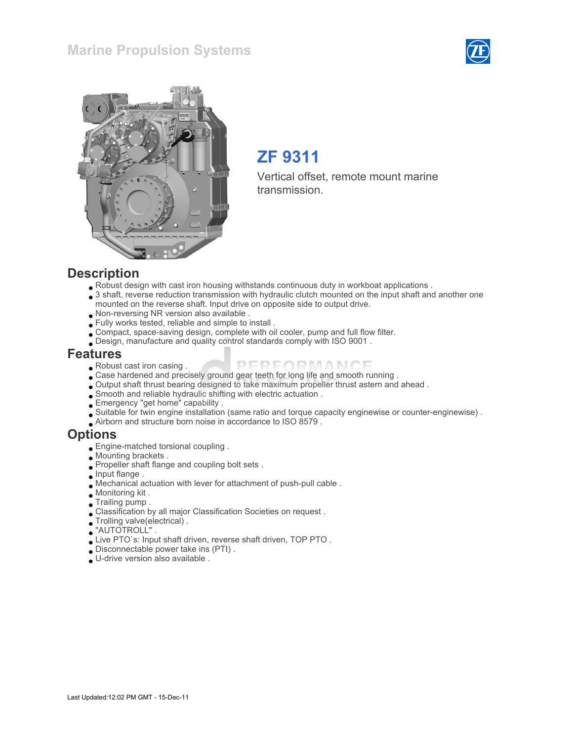



# ZF 9311

Vertical offset, remote mount marine transmission.

#### **Description**

- Robust design with cast iron housing withstands continuous duty in workboat applications .
- 3 shaft, reverse reduction transmission with hydraulic clutch mounted on the input shaft and another one mounted on the reverse shaft. Input drive on opposite side to output drive.
- Non-reversing NR version also available .
- Fully works tested, reliable and simple to install .
- Compact, space-saving design, complete with oil cooler, pump and full flow filter.
- Design, manufacture and quality control standards comply with ISO 9001 .

#### Features

- Robust cast iron casing .
- PERFORMANCE Case hardened and precisely ground gear teeth for long life and smooth running .
- Output shaft thrust bearing designed to take maximum propeller thrust astern and ahead .
- Smooth and reliable hydraulic shifting with electric actuation .
- Emergency "get home" capability .
- Suitable for twin engine installation (same ratio and torque capacity enginewise or counter-enginewise) .
- Airborn and structure born noise in accordance to ISO 8579 .

#### **Options**

- Engine-matched torsional coupling .
- Mounting brackets .
	- Propeller shaft flange and coupling bolt sets .
- $\bullet$  Input flange.
- Mechanical actuation with lever for attachment of push-pull cable .
- Monitoring kit .
- Trailing pump .
- Classification by all major Classification Societies on request .
- Trolling valve(electrical) .
- "AUTOTROLL" .
- Live PTO`s: Input shaft driven, reverse shaft driven, TOP PTO .
- Disconnectable power take ins (PTI) .
- U-drive version also available .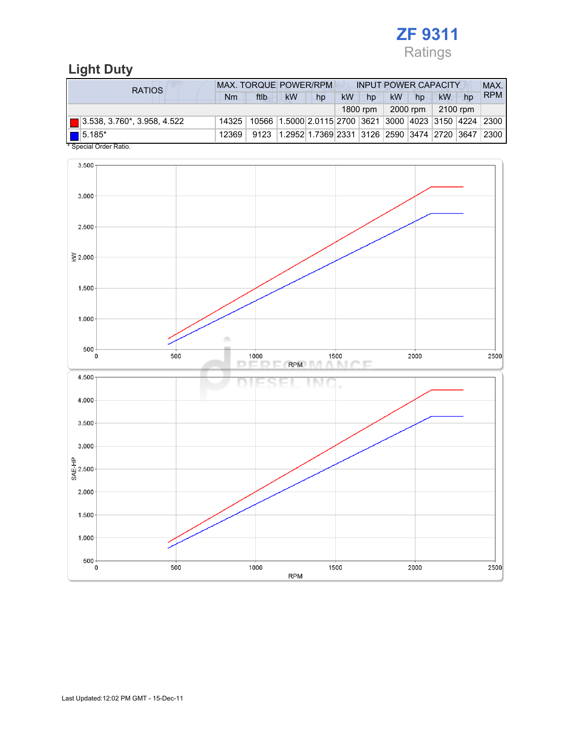

## Light Duty

| <b>RATIOS</b>                      | <b>MAX. TORQUE POWER/RPM</b><br><b>INPUT POWER CAPACITY</b> |      |                                                        |    |    |          |           |            |          |    | MAX.       |
|------------------------------------|-------------------------------------------------------------|------|--------------------------------------------------------|----|----|----------|-----------|------------|----------|----|------------|
|                                    | Nm                                                          | ftlb | kW                                                     | hp | kW | hp       | <b>kW</b> | hp         | kW       | hp | <b>RPM</b> |
|                                    |                                                             |      |                                                        |    |    | 1800 rpm |           | $2000$ rpm | 2100 rpm |    |            |
| $\Box$ 3.538, 3.760*, 3.958, 4.522 | 14325                                                       |      | 10566 1.5000 2.0115 2700 3621 3000 4023 3150 4224 2300 |    |    |          |           |            |          |    |            |
| $\boxed{\blacksquare}$ 5.185*      | 12369                                                       | 9123 | 1.2952 1.7369 2331 3126 2590 3474 2720 3647 2300       |    |    |          |           |            |          |    |            |
| * Special Order Ratio.             |                                                             |      |                                                        |    |    |          |           |            |          |    |            |

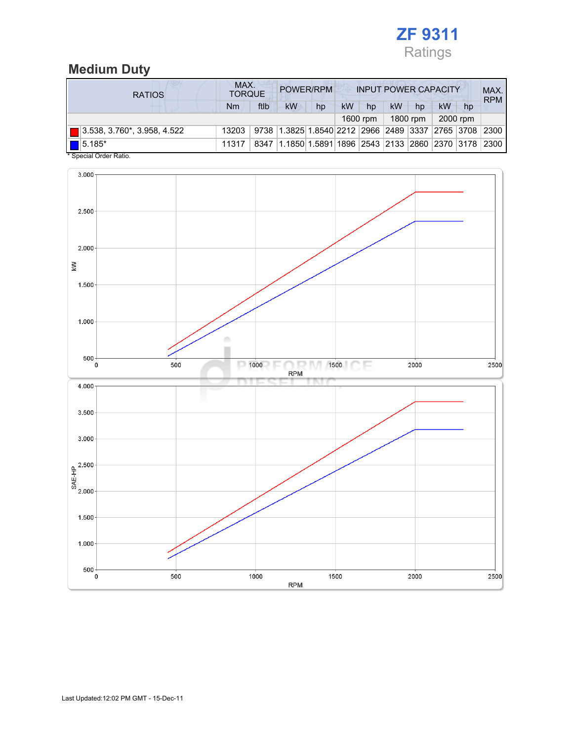

## Medium Duty

| <b>RATIOS</b>               | MAX.<br>POWER/RPM<br><b>INPUT POWER CAPACITY</b><br><b>TORQUE</b> |      |                                                  |                                                  |    |          |    | MAX.<br><b>RPM</b> |    |          |      |
|-----------------------------|-------------------------------------------------------------------|------|--------------------------------------------------|--------------------------------------------------|----|----------|----|--------------------|----|----------|------|
|                             | Nm                                                                | ftlb | kW                                               | hp                                               | kW | hp       | kW | hp                 | kW | hp       |      |
|                             |                                                                   |      |                                                  |                                                  |    | 1600 rpm |    | 1800 rpm           |    | 2000 rpm |      |
| 3.538, 3.760*, 3.958, 4.522 | 13203                                                             |      | 9738 1.3825 1.8540 2212 2966 2489 3337 2765 3708 |                                                  |    |          |    |                    |    |          | 2300 |
| $\blacksquare$ 5.185*       | 11317                                                             | 8347 |                                                  | 1.1850 1.5891 1896 2543 2133 2860 2370 3178 2300 |    |          |    |                    |    |          |      |

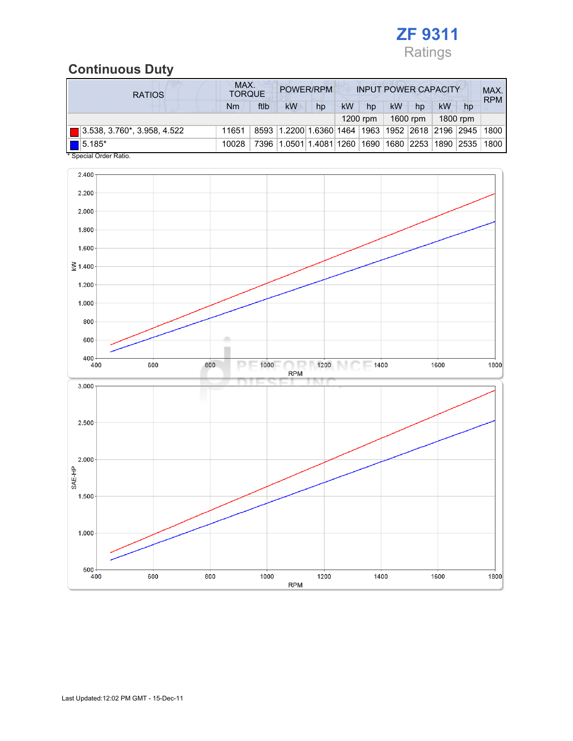

## Continuous Duty

| <b>RATIOS</b>               | MAX.<br>POWER/RPM<br><b>INPUT POWER CAPACITY</b><br><b>TORQUE</b> |      |                                                  |                    |    |            |                  |          |            | MAX.<br><b>RPM</b> |      |
|-----------------------------|-------------------------------------------------------------------|------|--------------------------------------------------|--------------------|----|------------|------------------|----------|------------|--------------------|------|
|                             | Nm                                                                | ftlb | kW                                               | hp                 | kW | hp         | kW               | hp       | kW         | hp                 |      |
|                             |                                                                   |      |                                                  |                    |    | $1200$ rpm |                  | 1600 rpm |            | 1800 rpm           |      |
| 3.538, 3.760*, 3.958, 4.522 | 11651                                                             |      | 8593 1.2200 1.6360 1464 1963 1952 2618 2196 2945 |                    |    |            |                  |          |            |                    | 1800 |
| $\blacksquare$ 5.185*       | 10028                                                             | 7396 |                                                  | 1.0501 1.4081 1260 |    |            | 1690  1680  2253 |          | 1890  2535 |                    | 1800 |

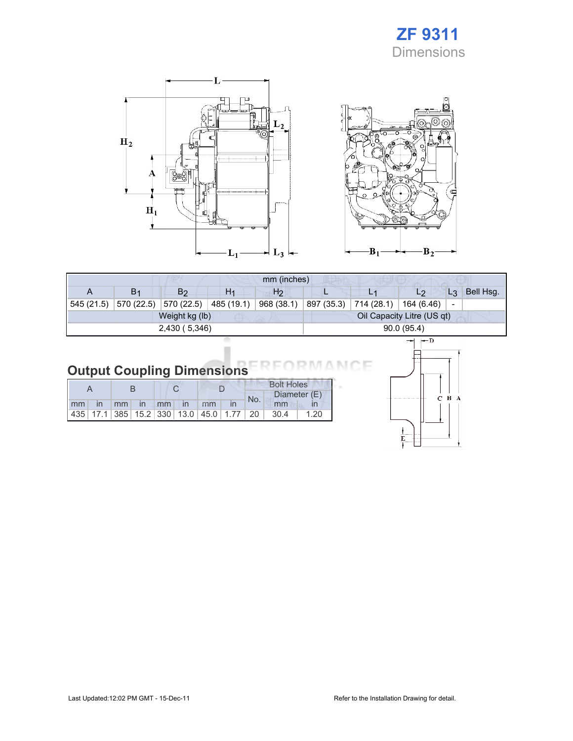## ZF 9311 **Dimensions**





|               |                |                |                | mm (inches)    |                            |                         |            |                          |           |
|---------------|----------------|----------------|----------------|----------------|----------------------------|-------------------------|------------|--------------------------|-----------|
| А             | B <sub>1</sub> | B <sub>2</sub> | H <sub>1</sub> | H <sub>2</sub> |                            |                         | L2         | $L_3$                    | Bell Hsg. |
| 545 (21.5)    | 570 (22.5)     | 570 (22.5)     | 485 (19.1)     | 968 (38.1)     | 897 (35.3)                 | 714 (28.1)   164 (6.46) |            | $\overline{\phantom{a}}$ |           |
|               |                | Weight kg (lb) |                |                | Oil Capacity Litre (US qt) |                         |            |                          |           |
| 2,430 (5,346) |                |                |                |                |                            |                         | 90.0(95.4) |                          |           |
|               |                |                |                |                | $-$ n<br>--                |                         |            |                          |           |

#### Output Coupling Dimensions ìΕ

|    |  |             |  |               |                                                         |     | <b>Bolt Holes</b> |              |
|----|--|-------------|--|---------------|---------------------------------------------------------|-----|-------------------|--------------|
|    |  |             |  |               |                                                         | No. |                   | Diameter (E) |
| mm |  | in mm in mm |  | $\mathsf{In}$ | mm                                                      |     | mm                |              |
|    |  |             |  |               | 435   17.1   385   15.2   330   13.0   45.0   1.77   20 |     | 30.4              | 1.20         |